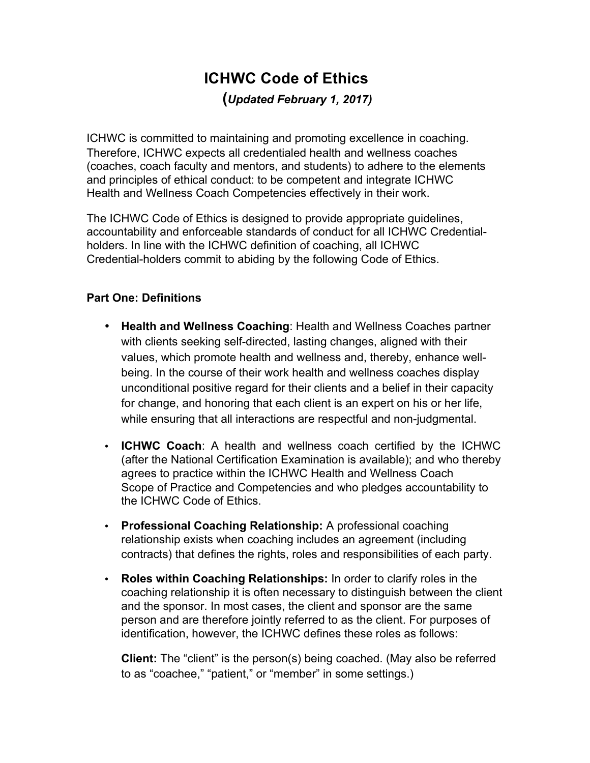# **ICHWC Code of Ethics (***Updated February 1, 2017)*

ICHWC is committed to maintaining and promoting excellence in coaching. Therefore, ICHWC expects all credentialed health and wellness coaches (coaches, coach faculty and mentors, and students) to adhere to the elements and principles of ethical conduct: to be competent and integrate ICHWC Health and Wellness Coach Competencies effectively in their work.

The ICHWC Code of Ethics is designed to provide appropriate guidelines, accountability and enforceable standards of conduct for all ICHWC Credentialholders. In line with the ICHWC definition of coaching, all ICHWC Credential-holders commit to abiding by the following Code of Ethics.

# **Part One: Definitions**

- **Health and Wellness Coaching**: Health and Wellness Coaches partner with clients seeking self-directed, lasting changes, aligned with their values, which promote health and wellness and, thereby, enhance wellbeing. In the course of their work health and wellness coaches display unconditional positive regard for their clients and a belief in their capacity for change, and honoring that each client is an expert on his or her life, while ensuring that all interactions are respectful and non-judgmental.
- **ICHWC Coach**: A health and wellness coach certified by the ICHWC (after the National Certification Examination is available); and who thereby agrees to practice within the ICHWC Health and Wellness Coach Scope of Practice and Competencies and who pledges accountability to the ICHWC Code of Ethics.
- **Professional Coaching Relationship:** A professional coaching relationship exists when coaching includes an agreement (including contracts) that defines the rights, roles and responsibilities of each party.
- **Roles within Coaching Relationships:** In order to clarify roles in the coaching relationship it is often necessary to distinguish between the client and the sponsor. In most cases, the client and sponsor are the same person and are therefore jointly referred to as the client. For purposes of identification, however, the ICHWC defines these roles as follows:

**Client:** The "client" is the person(s) being coached. (May also be referred to as "coachee," "patient," or "member" in some settings.)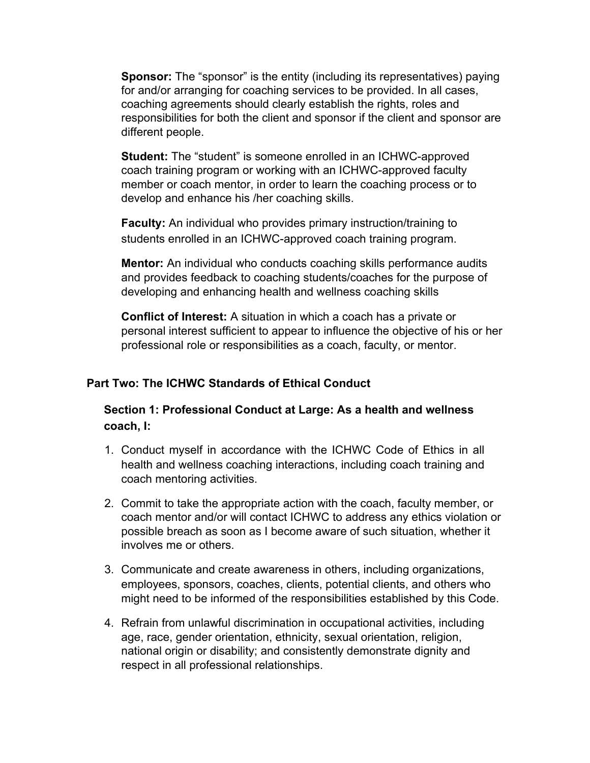**Sponsor:** The "sponsor" is the entity (including its representatives) paying for and/or arranging for coaching services to be provided. In all cases, coaching agreements should clearly establish the rights, roles and responsibilities for both the client and sponsor if the client and sponsor are different people.

**Student:** The "student" is someone enrolled in an ICHWC-approved coach training program or working with an ICHWC-approved faculty member or coach mentor, in order to learn the coaching process or to develop and enhance his /her coaching skills.

**Faculty:** An individual who provides primary instruction/training to students enrolled in an ICHWC-approved coach training program.

**Mentor:** An individual who conducts coaching skills performance audits and provides feedback to coaching students/coaches for the purpose of developing and enhancing health and wellness coaching skills

**Conflict of Interest:** A situation in which a coach has a private or personal interest sufficient to appear to influence the objective of his or her professional role or responsibilities as a coach, faculty, or mentor.

## **Part Two: The ICHWC Standards of Ethical Conduct**

## **Section 1: Professional Conduct at Large: As a health and wellness coach, I:**

- 1. Conduct myself in accordance with the ICHWC Code of Ethics in all health and wellness coaching interactions, including coach training and coach mentoring activities.
- 2. Commit to take the appropriate action with the coach, faculty member, or coach mentor and/or will contact ICHWC to address any ethics violation or possible breach as soon as I become aware of such situation, whether it involves me or others.
- 3. Communicate and create awareness in others, including organizations, employees, sponsors, coaches, clients, potential clients, and others who might need to be informed of the responsibilities established by this Code.
- 4. Refrain from unlawful discrimination in occupational activities, including age, race, gender orientation, ethnicity, sexual orientation, religion, national origin or disability; and consistently demonstrate dignity and respect in all professional relationships.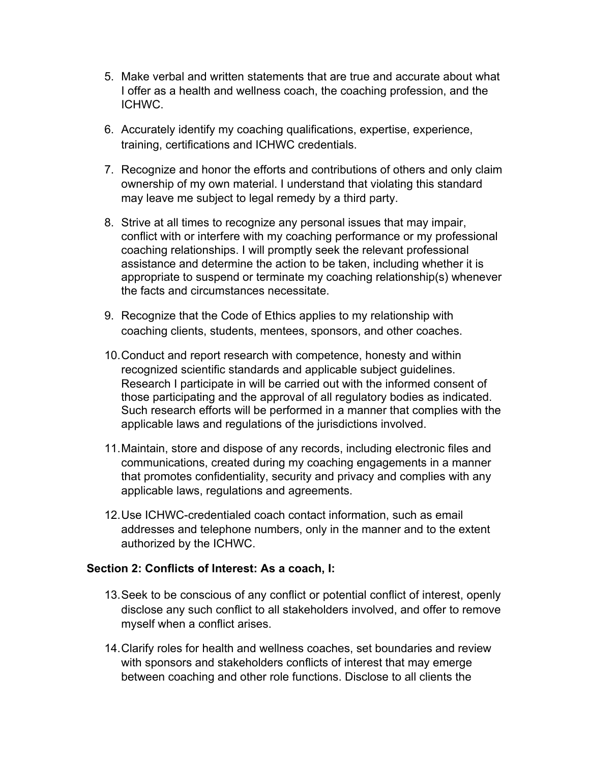- 5. Make verbal and written statements that are true and accurate about what I offer as a health and wellness coach, the coaching profession, and the ICHWC.
- 6. Accurately identify my coaching qualifications, expertise, experience, training, certifications and ICHWC credentials.
- 7. Recognize and honor the efforts and contributions of others and only claim ownership of my own material. I understand that violating this standard may leave me subject to legal remedy by a third party.
- 8. Strive at all times to recognize any personal issues that may impair, conflict with or interfere with my coaching performance or my professional coaching relationships. I will promptly seek the relevant professional assistance and determine the action to be taken, including whether it is appropriate to suspend or terminate my coaching relationship(s) whenever the facts and circumstances necessitate.
- 9. Recognize that the Code of Ethics applies to my relationship with coaching clients, students, mentees, sponsors, and other coaches.
- 10.Conduct and report research with competence, honesty and within recognized scientific standards and applicable subject guidelines. Research I participate in will be carried out with the informed consent of those participating and the approval of all regulatory bodies as indicated. Such research efforts will be performed in a manner that complies with the applicable laws and regulations of the jurisdictions involved.
- 11.Maintain, store and dispose of any records, including electronic files and communications, created during my coaching engagements in a manner that promotes confidentiality, security and privacy and complies with any applicable laws, regulations and agreements.
- 12.Use ICHWC-credentialed coach contact information, such as email addresses and telephone numbers, only in the manner and to the extent authorized by the ICHWC.

#### **Section 2: Conflicts of Interest: As a coach, I:**

- 13.Seek to be conscious of any conflict or potential conflict of interest, openly disclose any such conflict to all stakeholders involved, and offer to remove myself when a conflict arises.
- 14.Clarify roles for health and wellness coaches, set boundaries and review with sponsors and stakeholders conflicts of interest that may emerge between coaching and other role functions. Disclose to all clients the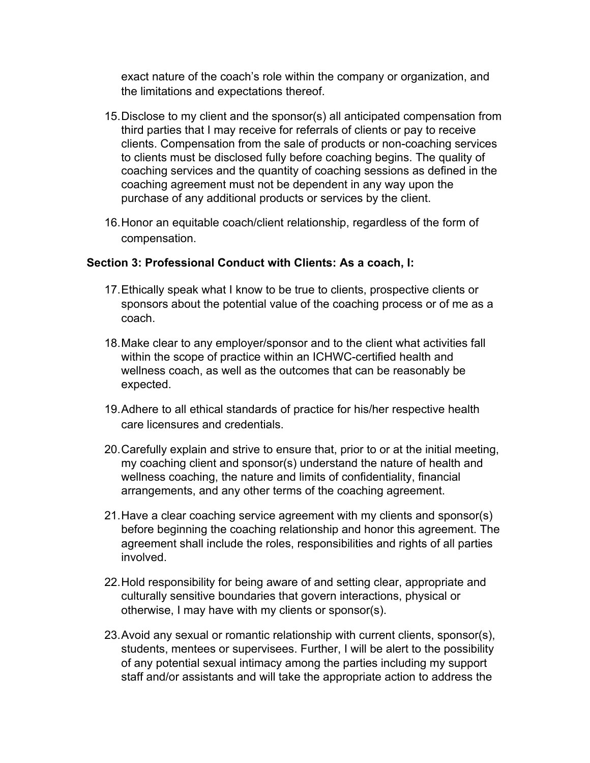exact nature of the coach's role within the company or organization, and the limitations and expectations thereof.

- 15.Disclose to my client and the sponsor(s) all anticipated compensation from third parties that I may receive for referrals of clients or pay to receive clients. Compensation from the sale of products or non-coaching services to clients must be disclosed fully before coaching begins. The quality of coaching services and the quantity of coaching sessions as defined in the coaching agreement must not be dependent in any way upon the purchase of any additional products or services by the client.
- 16.Honor an equitable coach/client relationship, regardless of the form of compensation.

## **Section 3: Professional Conduct with Clients: As a coach, I:**

- 17.Ethically speak what I know to be true to clients, prospective clients or sponsors about the potential value of the coaching process or of me as a coach.
- 18.Make clear to any employer/sponsor and to the client what activities fall within the scope of practice within an ICHWC-certified health and wellness coach, as well as the outcomes that can be reasonably be expected.
- 19.Adhere to all ethical standards of practice for his/her respective health care licensures and credentials.
- 20.Carefully explain and strive to ensure that, prior to or at the initial meeting, my coaching client and sponsor(s) understand the nature of health and wellness coaching, the nature and limits of confidentiality, financial arrangements, and any other terms of the coaching agreement.
- 21.Have a clear coaching service agreement with my clients and sponsor(s) before beginning the coaching relationship and honor this agreement. The agreement shall include the roles, responsibilities and rights of all parties involved.
- 22.Hold responsibility for being aware of and setting clear, appropriate and culturally sensitive boundaries that govern interactions, physical or otherwise, I may have with my clients or sponsor(s).
- 23.Avoid any sexual or romantic relationship with current clients, sponsor(s), students, mentees or supervisees. Further, I will be alert to the possibility of any potential sexual intimacy among the parties including my support staff and/or assistants and will take the appropriate action to address the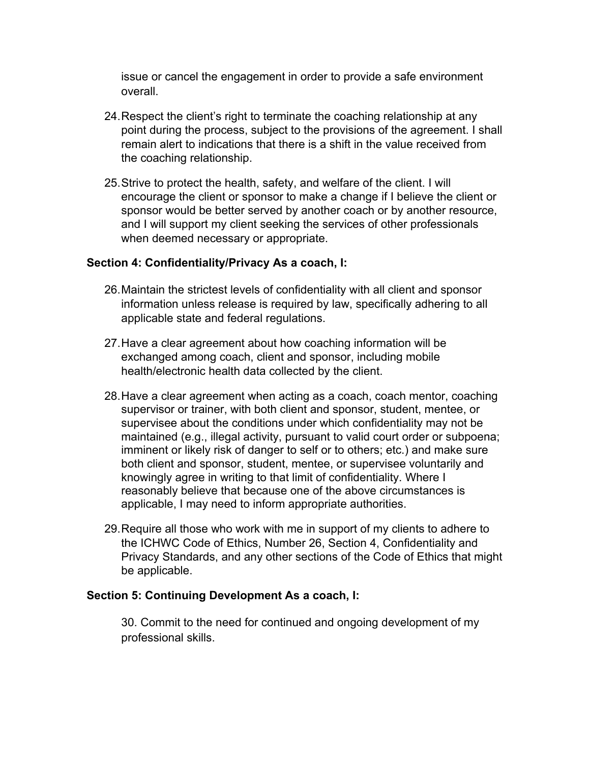issue or cancel the engagement in order to provide a safe environment overall.

- 24.Respect the client's right to terminate the coaching relationship at any point during the process, subject to the provisions of the agreement. I shall remain alert to indications that there is a shift in the value received from the coaching relationship.
- 25.Strive to protect the health, safety, and welfare of the client. I will encourage the client or sponsor to make a change if I believe the client or sponsor would be better served by another coach or by another resource, and I will support my client seeking the services of other professionals when deemed necessary or appropriate.

## **Section 4: Confidentiality/Privacy As a coach, I:**

- 26.Maintain the strictest levels of confidentiality with all client and sponsor information unless release is required by law, specifically adhering to all applicable state and federal regulations.
- 27.Have a clear agreement about how coaching information will be exchanged among coach, client and sponsor, including mobile health/electronic health data collected by the client.
- 28.Have a clear agreement when acting as a coach, coach mentor, coaching supervisor or trainer, with both client and sponsor, student, mentee, or supervisee about the conditions under which confidentiality may not be maintained (e.g., illegal activity, pursuant to valid court order or subpoena; imminent or likely risk of danger to self or to others; etc.) and make sure both client and sponsor, student, mentee, or supervisee voluntarily and knowingly agree in writing to that limit of confidentiality. Where I reasonably believe that because one of the above circumstances is applicable, I may need to inform appropriate authorities.
- 29.Require all those who work with me in support of my clients to adhere to the ICHWC Code of Ethics, Number 26, Section 4, Confidentiality and Privacy Standards, and any other sections of the Code of Ethics that might be applicable.

#### **Section 5: Continuing Development As a coach, I:**

30. Commit to the need for continued and ongoing development of my professional skills.